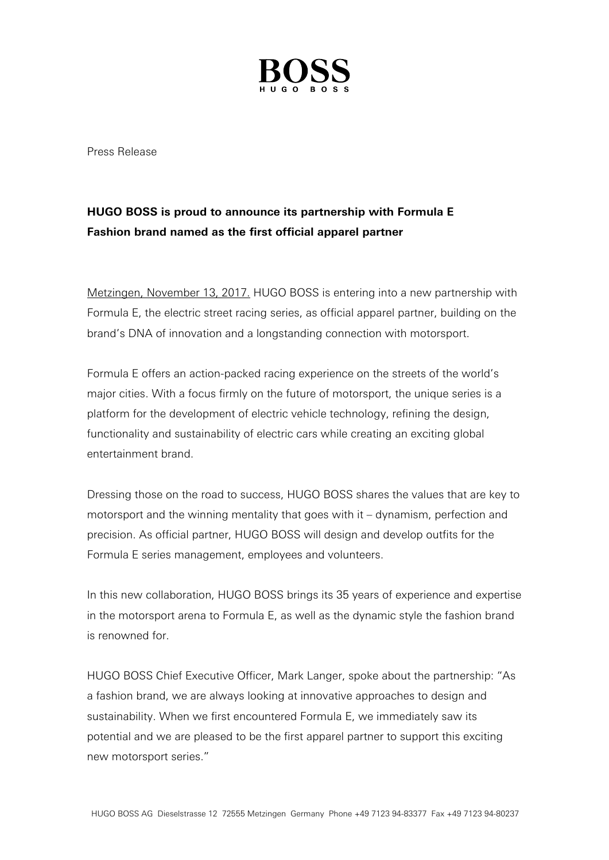

Press Release

## **HUGO BOSS is proud to announce its partnership with Formula E Fashion brand named as the first official apparel partner**

Metzingen, November 13, 2017. HUGO BOSS is entering into a new partnership with Formula E, the electric street racing series, as official apparel partner, building on the brand's DNA of innovation and a longstanding connection with motorsport.

Formula E offers an action-packed racing experience on the streets of the world's major cities. With a focus firmly on the future of motorsport, the unique series is a platform for the development of electric vehicle technology, refining the design, functionality and sustainability of electric cars while creating an exciting global entertainment brand.

Dressing those on the road to success, HUGO BOSS shares the values that are key to motorsport and the winning mentality that goes with it – dynamism, perfection and precision. As official partner, HUGO BOSS will design and develop outfits for the Formula E series management, employees and volunteers.

In this new collaboration, HUGO BOSS brings its 35 years of experience and expertise in the motorsport arena to Formula E, as well as the dynamic style the fashion brand is renowned for.

HUGO BOSS Chief Executive Officer, Mark Langer, spoke about the partnership: "As a fashion brand, we are always looking at innovative approaches to design and sustainability. When we first encountered Formula E, we immediately saw its potential and we are pleased to be the first apparel partner to support this exciting new motorsport series."